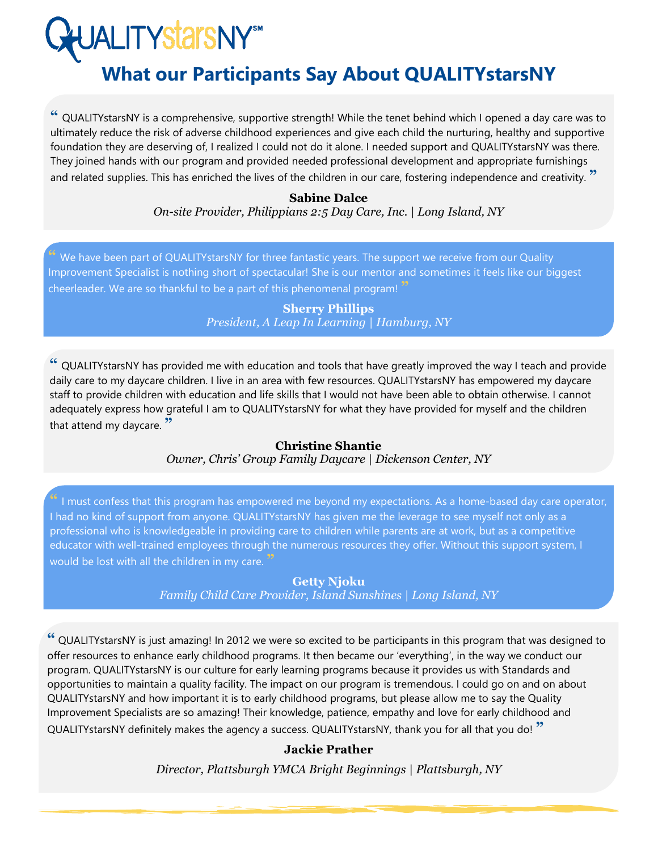**JALITYStarSNY®M** 

# **What our Participants Say About QUALITYstarsNY**

**"** QUALITYstarsNY is a comprehensive, supportive strength! While the tenet behind which I opened a day care was to ultimately reduce the risk of adverse childhood experiences and give each child the nurturing, healthy and supportive foundation they are deserving of, I realized I could not do it alone. I needed support and QUALITYstarsNY was there. They joined hands with our program and provided needed professional development and appropriate furnishings and related supplies. This has enriched the lives of the children in our care, fostering independence and creativity. **"**

#### **Sabine Dalce**  *On-site Provider, Philippians 2:5 Day Care, Inc. | Long Island, NY*

We have been part of QUALITYstarsNY for three fantastic years. The support we receive from our Quality Improvement Specialist is nothing short of spectacular! She is our mentor and sometimes it feels like our biggest cheerleader. We are so thankful to be a part of this phenomenal program! **"**

> **Sherry Phillips** *President, A Leap In Learning | Hamburg, NY*

**"** QUALITYstarsNY has provided me with education and tools that have greatly improved the way I teach and provide daily care to my daycare children. I live in an area with few resources. QUALITYstarsNY has empowered my daycare staff to provide children with education and life skills that I would not have been able to obtain otherwise. I cannot adequately express how grateful I am to QUALITYstarsNY for what they have provided for myself and the children that attend my daycare. **"**

#### **Christine Shantie** *Owner, Chris' Group Family Daycare | Dickenson Center, NY*

**"** I must confess that this program has empowered me beyond my expectations. As a home-based day care operator, I had no kind of support from anyone. QUALITYstarsNY has given me the leverage to see myself not only as a professional who is knowledgeable in providing care to children while parents are at work, but as a competitive educator with well-trained employees through the numerous resources they offer. Without this support system, I would be lost with all the children in my care. **"**

## **Getty Njoku**

*Family Child Care Provider, Island Sunshines | Long Island, NY*

**"** QUALITYstarsNY is just amazing! In 2012 we were so excited to be participants in this program that was designed to offer resources to enhance early childhood programs. It then became our 'everything', in the way we conduct our program. QUALITYstarsNY is our culture for early learning programs because it provides us with Standards and opportunities to maintain a quality facility. The impact on our program is tremendous. I could go on and on about QUALITYstarsNY and how important it is to early childhood programs, but please allow me to say the Quality Improvement Specialists are so amazing! Their knowledge, patience, empathy and love for early childhood and QUALITYstarsNY definitely makes the agency a success. QUALITYstarsNY, thank you for all that you do! **"**

## **Jackie Prather**

*Director, Plattsburgh YMCA Bright Beginnings | Plattsburgh, NY*